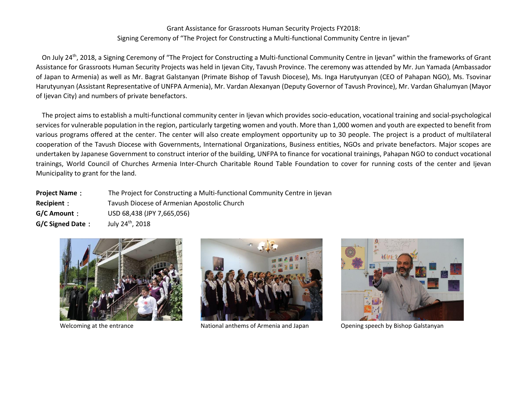## Grant Assistance for Grassroots Human Security Projects FY2018: Signing Ceremony of "The Project for Constructing a Multi-functional Community Centre in Ijevan"

On July 24<sup>th</sup>, 2018, a Signing Ceremony of "The Project for Constructing a Multi-functional Community Centre in Ijevan" within the frameworks of Grant Assistance for Grassroots Human Security Projects was held in Ijevan City, Tavush Province. The ceremony was attended by Mr. Jun Yamada (Ambassador of Japan to Armenia) as well as Mr. Bagrat Galstanyan (Primate Bishop of Tavush Diocese), Ms. Inga Harutyunyan (CEO of Pahapan NGO), Ms. Tsovinar Harutyunyan (Assistant Representative of UNFPA Armenia), Mr. Vardan Alexanyan (Deputy Governor of Tavush Province), Mr. Vardan Ghalumyan (Mayor of Ijevan City) and numbers of private benefactors.

The project aims to establish a multi-functional community center in Ijevan which provides socio-education, vocational training and social-psychological services for vulnerable population in the region, particularly targeting women and youth. More than 1,000 women and youth are expected to benefit from various programs offered at the center. The center will also create employment opportunity up to 30 people. The project is a product of multilateral cooperation of the Tavush Diocese with Governments, International Organizations, Business entities, NGOs and private benefactors. Major scopes are undertaken by Japanese Government to construct interior of the building, UNFPA to finance for vocational trainings, Pahapan NGO to conduct vocational trainings, World Council of Churches Armenia Inter-Church Charitable Round Table Foundation to cover for running costs of the center and Ijevan Municipality to grant for the land.

| <b>Project Name:</b>    | The Project for Constructing a Multi-functional Community Centre in Ijevan |
|-------------------------|----------------------------------------------------------------------------|
| Recipient:              | Tavush Diocese of Armenian Apostolic Church                                |
| G/C Amount:             | USD 68,438 (JPY 7,665,056)                                                 |
| <b>G/C Signed Date:</b> | July 24 <sup>th</sup> , 2018                                               |





Welcoming at the entrance National anthems of Armenia and Japan Opening speech by Bishop Galstanyan